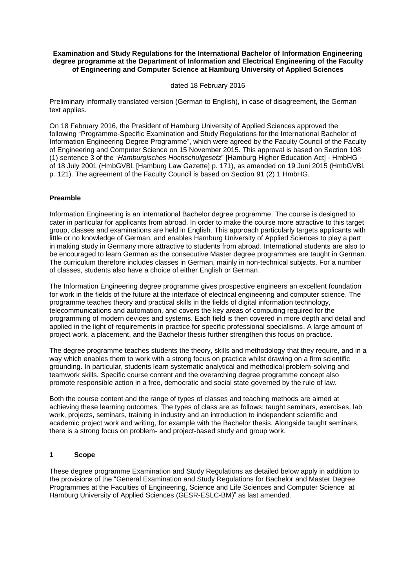#### **Examination and Study Regulations for the International Bachelor of Information Engineering degree programme at the Department of Information and Electrical Engineering of the Faculty of Engineering and Computer Science at Hamburg University of Applied Sciences**

#### dated 18 February 2016

Preliminary informally translated version (German to English), in case of disagreement, the German text applies.

On 18 February 2016, the President of Hamburg University of Applied Sciences approved the following "Programme-Specific Examination and Study Regulations for the International Bachelor of Information Engineering Degree Programme", which were agreed by the Faculty Council of the Faculty of Engineering and Computer Science on 15 November 2015. This approval is based on Section 108 (1) sentence 3 of the "*Hamburgisches Hochschulgesetz*" [Hamburg Higher Education Act] - HmbHG of 18 July 2001 (HmbGVBl. [Hamburg Law Gazette] p. 171), as amended on 19 Juni 2015 (HmbGVBl. p. 121). The agreement of the Faculty Council is based on Section 91 (2) 1 HmbHG.

## **Preamble**

Information Engineering is an international Bachelor degree programme. The course is designed to cater in particular for applicants from abroad. In order to make the course more attractive to this target group, classes and examinations are held in English. This approach particularly targets applicants with little or no knowledge of German, and enables Hamburg University of Applied Sciences to play a part in making study in Germany more attractive to students from abroad. International students are also to be encouraged to learn German as the consecutive Master degree programmes are taught in German. The curriculum therefore includes classes in German, mainly in non-technical subjects. For a number of classes, students also have a choice of either English or German.

The Information Engineering degree programme gives prospective engineers an excellent foundation for work in the fields of the future at the interface of electrical engineering and computer science. The programme teaches theory and practical skills in the fields of digital information technology, telecommunications and automation, and covers the key areas of computing required for the programming of modern devices and systems. Each field is then covered in more depth and detail and applied in the light of requirements in practice for specific professional specialisms. A large amount of project work, a placement, and the Bachelor thesis further strengthen this focus on practice.

The degree programme teaches students the theory, skills and methodology that they require, and in a way which enables them to work with a strong focus on practice whilst drawing on a firm scientific grounding. In particular, students learn systematic analytical and methodical problem-solving and teamwork skills. Specific course content and the overarching degree programme concept also promote responsible action in a free, democratic and social state governed by the rule of law.

Both the course content and the range of types of classes and teaching methods are aimed at achieving these learning outcomes. The types of class are as follows: taught seminars, exercises, lab work, projects, seminars, training in industry and an introduction to independent scientific and academic project work and writing, for example with the Bachelor thesis. Alongside taught seminars, there is a strong focus on problem- and project-based study and group work.

## **1 Scope**

These degree programme Examination and Study Regulations as detailed below apply in addition to the provisions of the "General Examination and Study Regulations for Bachelor and Master Degree Programmes at the Faculties of Engineering, Science and Life Sciences and Computer Science at Hamburg University of Applied Sciences (GESR-ESLC-BM)" as last amended.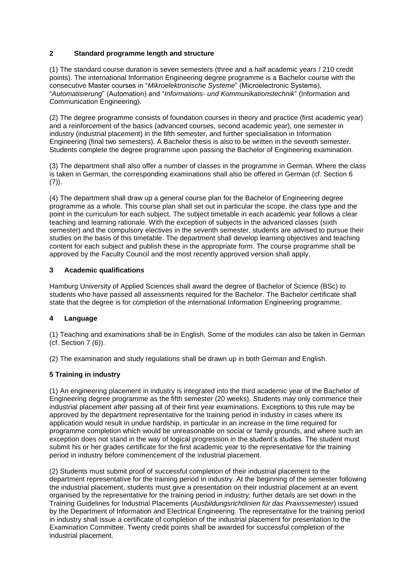## **2 Standard programme length and structure**

(1) The standard course duration is seven semesters (three and a half academic years / 210 credit points). The international Information Engineering degree programme is a Bachelor course with the consecutive Master courses in "*Mikroelektronische Systeme*" (Microelectronic Systems), "*Automatisierung*" (Automation) and "*Informations- und Kommunikationstechnik*" (Information and Communication Engineering).

(2) The degree programme consists of foundation courses in theory and practice (first academic year) and a reinforcement of the basics (advanced courses, second academic year), one semester in industry (industrial placement) in the fifth semester, and further specialisation in Information Engineering (final two semesters). A Bachelor thesis is also to be written in the seventh semester. Students complete the degree programme upon passing the Bachelor of Engineering examination.

(3) The department shall also offer a number of classes in the programme in German. Where the class is taken in German, the corresponding examinations shall also be offered in German (cf. Section 6  $(7)$ ).

(4) The department shall draw up a general course plan for the Bachelor of Engineering degree programme as a whole. This course plan shall set out in particular the scope, the class type and the point in the curriculum for each subject. The subject timetable in each academic year follows a clear teaching and learning rationale. With the exception of subjects in the advanced classes (sixth semester) and the compulsory electives in the seventh semester, students are advised to pursue their studies on the basis of this timetable. The department shall develop learning objectives and teaching content for each subject and publish these in the appropriate form. The course programme shall be approved by the Faculty Council and the most recently approved version shall apply.

## **3 Academic qualifications**

Hamburg University of Applied Sciences shall award the degree of Bachelor of Science (BSc) to students who have passed all assessments required for the Bachelor. The Bachelor certificate shall state that the degree is for completion of the international Information Engineering programme.

## **4 Language**

(1) Teaching and examinations shall be in English. Some of the modules can also be taken in German (cf. Section 7 (6)).

(2) The examination and study regulations shall be drawn up in both German and English.

## **5 Training in industry**

(1) An engineering placement in industry is integrated into the third academic year of the Bachelor of Engineering degree programme as the fifth semester (20 weeks). Students may only commence their industrial placement after passing all of their first year examinations. Exceptions to this rule may be approved by the department representative for the training period in industry in cases where its application would result in undue hardship, in particular in an increase in the time required for programme completion which would be unreasonable on social or family grounds, and where such an exception does not stand in the way of logical progression in the student's studies. The student must submit his or her grades certificate for the first academic year to the representative for the training period in industry before commencement of the industrial placement.

(2) Students must submit proof of successful completion of their industrial placement to the department representative for the training period in industry. At the beginning of the semester following the industrial placement, students must give a presentation on their industrial placement at an event organised by the representative for the training period in industry; further details are set down in the Training Guidelines for Industrial Placements (*Ausbildungsrichtlinien für das Praxissemester*) issued by the Department of Information and Electrical Engineering. The representative for the training period in industry shall issue a certificate of completion of the industrial placement for presentation to the Examination Committee. Twenty credit points shall be awarded for successful completion of the industrial placement.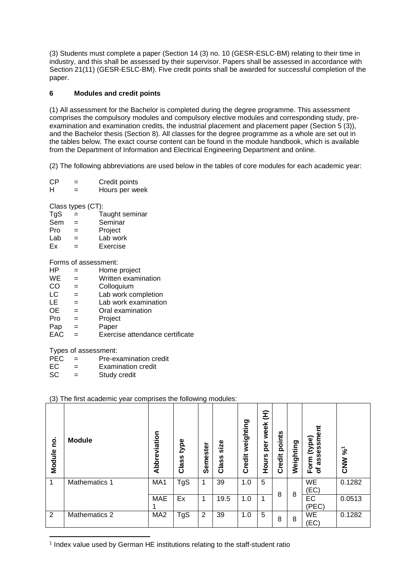(3) Students must complete a paper (Section 14 (3) no. 10 (GESR-ESLC-BM) relating to their time in industry, and this shall be assessed by their supervisor. Papers shall be assessed in accordance with Section 21(11) (GESR-ESLC-BM). Five credit points shall be awarded for successful completion of the paper.

## **6 Modules and credit points**

(1) All assessment for the Bachelor is completed during the degree programme. This assessment comprises the compulsory modules and compulsory elective modules and corresponding study, preexamination and examination credits, the industrial placement and placement paper (Section 5 (3)), and the Bachelor thesis (Section 8). All classes for the degree programme as a whole are set out in the tables below. The exact course content can be found in the module handbook, which is available from the Department of Information and Electrical Engineering Department and online.

(2) The following abbreviations are used below in the tables of core modules for each academic year:

 $CP =$  Credit points  $H =$  Hours per week

Class types (CT):

- $TgS = Taught seminar$
- Sem = Seminar
- Pro = Project
- $Lab =$  Lab work
- Ex = Exercise

Forms of assessment:

- HP = Home project  $WE = W$ ritten examination CO = Colloquium<br>LC = Lab work co
- $LC =$  Lab work completion<br> $LE =$  Lab work examination  $=$  Lab work examination
- $OE =$  Oral examination<br>Pro  $=$  Project
- $=$  Project
- $P$ ap = Paper
- EAC = Exercise attendance certificate

Types of assessment:

**.** 

- PEC = Pre-examination credit
- $EC = Examination credit$
- SC = Study credit

## (3) The first academic year comprises the following modules:

| <u>p</u><br>Module | <b>Module</b>        | Abbreviation    | type<br>Class | Semester | size<br>Class | weighting<br>Credit | Ê<br>week<br>per<br>Hours | points<br>Credit | Weighting | sment<br>(eq<br>€<br>Form<br>ä<br>৳ | $\mathcal{S}^{\mathsf{c}}$<br><b>NNO</b> |
|--------------------|----------------------|-----------------|---------------|----------|---------------|---------------------|---------------------------|------------------|-----------|-------------------------------------|------------------------------------------|
| 1                  | <b>Mathematics 1</b> | MA <sub>1</sub> | TgS           | 1        | 39            | 1.0                 | 5                         |                  |           | WE<br>(EC)                          | 0.1282                                   |
|                    |                      | <b>MAE</b>      | Ex            | 1        | 19.5          | 1.0                 | $\overline{\mathbf{A}}$   | 8                | 8         | EC<br>(PEC)                         | 0.0513                                   |
| 2                  | <b>Mathematics 2</b> | MA <sub>2</sub> | TgS           | 2        | 39            | 1.0                 | 5                         | 8                | 8         | <b>WE</b><br>(EC)                   | 0.1282                                   |

<sup>1</sup> Index value used by German HE institutions relating to the staff-student ratio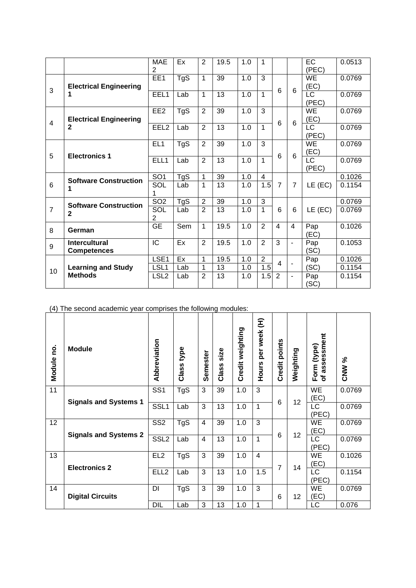|                          |                                            | <b>MAE</b><br>$\overline{2}$ | Ex  | $\overline{2}$ | 19.5 | 1.0 | 1              |                |                | <b>EC</b><br>(PEC)              | 0.0513 |
|--------------------------|--------------------------------------------|------------------------------|-----|----------------|------|-----|----------------|----------------|----------------|---------------------------------|--------|
| 3                        | <b>Electrical Engineering</b><br>1         | EE <sub>1</sub>              | TgS | $\mathbf{1}$   | 39   | 1.0 | 3              | 6              | 6              | <b>WE</b><br>(EC)               | 0.0769 |
|                          |                                            | EEL1                         | Lab | 1              | 13   | 1.0 | 1              |                |                | $\overline{\text{LC}}$<br>(PEC) | 0.0769 |
| $\overline{\mathcal{A}}$ | <b>Electrical Engineering</b>              | EE <sub>2</sub>              | TgS | $\overline{2}$ | 39   | 1.0 | 3              | 6              | 6              | <b>WE</b><br>(EC)               | 0.0769 |
|                          | $\mathbf{2}$                               | EEL <sub>2</sub>             | Lab | $\overline{2}$ | 13   | 1.0 | $\mathbf{1}$   |                |                | <b>LC</b><br>(PEC)              | 0.0769 |
| 5                        | <b>Electronics 1</b>                       | EL <sub>1</sub>              | TgS | $\overline{2}$ | 39   | 1.0 | 3              | 6              | 6              | <b>WE</b><br>(EC)               | 0.0769 |
|                          |                                            | ELL1                         | Lab | $\overline{2}$ | 13   | 1.0 | 1              |                |                | <b>LC</b><br>(PEC)              | 0.0769 |
|                          | <b>Software Construction</b>               | SO <sub>1</sub>              | TgS | 1              | 39   | 1.0 | $\overline{4}$ |                |                |                                 | 0.1026 |
| 6                        | 1                                          | SOL                          | Lab | 1              | 13   | 1.0 | 1.5            | $\overline{7}$ | $\overline{7}$ | $LE$ (EC)                       | 0.1154 |
|                          | <b>Software Construction</b>               | SO <sub>2</sub>              | TgS | $\overline{2}$ | 39   | 1.0 | 3              |                |                |                                 | 0.0769 |
| $\overline{7}$           | $\mathbf{2}$                               | SOL<br>$\overline{2}$        | Lab | $\overline{2}$ | 13   | 1.0 | 1              | 6              | 6              | $LE$ (EC)                       | 0.0769 |
| 8                        | German                                     | <b>GE</b>                    | Sem | 1              | 19.5 | 1.0 | $\overline{2}$ | 4              | 4              | Pap<br>(EC)                     | 0.1026 |
| 9                        | <b>Intercultural</b><br><b>Competences</b> | IC                           | Ex  | $\overline{2}$ | 19.5 | 1.0 | $\overline{2}$ | 3              |                | Pap<br>(SC)                     | 0.1053 |
|                          |                                            | LSE1                         | Ex  | 1              | 19.5 | 1.0 | $\overline{2}$ | 4              |                | Pap                             | 0.1026 |
| 10                       | <b>Learning and Study</b>                  | LSL1                         | Lab | 1              | 13   | 1.0 | 1.5            |                |                | (SC)                            | 0.1154 |
|                          | <b>Methods</b>                             | LSL <sub>2</sub>             | Lab | $\overline{2}$ | 13   | 1.0 | 1.5            | 2              | $\blacksquare$ | Pap<br>(SC)                     | 0.1154 |

(4) The second academic year comprises the following modules:

| <u>o</u><br>Module | <b>Module</b>                | Abbreviation     | type<br>Class <sup>-</sup> | Semester | size<br>Class | Credit weighting | Ê<br>week<br>per<br><b>Hours</b> | points<br><b>Credit</b> | Weighting | assessment<br>Form (type)<br>৳ | CNW %  |
|--------------------|------------------------------|------------------|----------------------------|----------|---------------|------------------|----------------------------------|-------------------------|-----------|--------------------------------|--------|
| $\overline{11}$    | <b>Signals and Systems 1</b> | SS <sub>1</sub>  | <b>TgS</b>                 | 3        | 39            | 1.0              | 3                                | 6                       | 12        | WE<br>(EC)                     | 0.0769 |
|                    |                              | SSL <sub>1</sub> | Lab                        | 3        | 13            | 1.0              |                                  |                         |           | <b>LC</b><br>(PEC)             | 0.0769 |
| 12                 |                              | SS <sub>2</sub>  | TgS                        | 4        | 39            | 1.0              | 3                                | 6                       | 12        | WE<br>(EC)                     | 0.0769 |
|                    | <b>Signals and Systems 2</b> | SSL <sub>2</sub> | Lab                        | 4        | 13            | 1.0              | 1                                |                         |           | <b>LC</b><br>(PEC)             | 0.0769 |
| 13                 | <b>Electronics 2</b>         | EL <sub>2</sub>  | TgS                        | 3        | 39            | 1.0              | $\overline{4}$                   | $\overline{7}$          | 14        | WE<br>(EC)                     | 0.1026 |
|                    |                              | ELL <sub>2</sub> | Lab                        | 3        | 13            | 1.0              | 1.5                              |                         |           | <b>LC</b><br>(PEC)             | 0.1154 |
| 14                 | <b>Digital Circuits</b>      | DI               | TgS                        | 3        | 39            | 1.0              | 3                                | 6                       | 12        | WE<br>(EC)                     | 0.0769 |
|                    |                              | DIL              | Lab                        | 3        | 13            | 1.0              |                                  |                         |           | LC                             | 0.076  |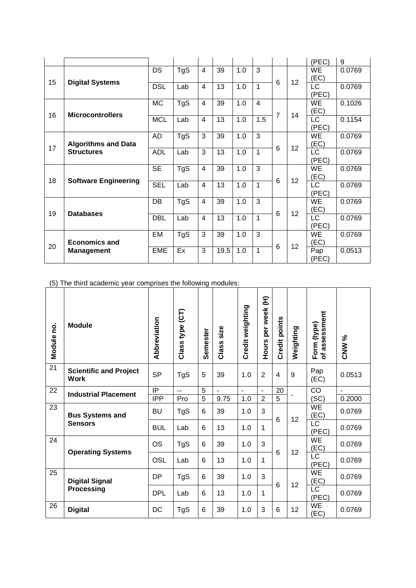|    |                                                 |            |            |                |      |     |                |   |    | (PEC)              | 9      |
|----|-------------------------------------------------|------------|------------|----------------|------|-----|----------------|---|----|--------------------|--------|
| 15 |                                                 | DS         | TgS        | $\overline{4}$ | 39   | 1.0 | 3              | 6 | 12 | WE<br>(EC)         | 0.0769 |
|    | <b>Digital Systems</b>                          | <b>DSL</b> | Lab        | $\overline{4}$ | 13   | 1.0 | 1              |   |    | LC<br>(PEC)        | 0.0769 |
| 16 | <b>Microcontrollers</b>                         | <b>MC</b>  | <b>TgS</b> | $\overline{4}$ | 39   | 1.0 | $\overline{4}$ | 7 | 14 | WE<br>(EC)         | 0.1026 |
|    |                                                 | <b>MCL</b> | Lab        | $\overline{4}$ | 13   | 1.0 | 1.5            |   |    | <b>LC</b><br>(PEC) | 0.1154 |
| 17 | <b>Algorithms and Data</b><br><b>Structures</b> | AD         | TgS        | 3              | 39   | 1.0 | 3              | 6 | 12 | WE<br>(EC)         | 0.0769 |
|    |                                                 | <b>ADL</b> | Lab        | 3              | 13   | 1.0 | 1              |   |    | LC<br>(PEC)        | 0.0769 |
|    |                                                 | <b>SE</b>  | TgS        | $\overline{4}$ | 39   | 1.0 | 3              | 6 | 12 | <b>WE</b><br>(EC)  | 0.0769 |
| 18 | <b>Software Engineering</b>                     | <b>SEL</b> | Lab        | $\overline{4}$ | 13   | 1.0 | 1              |   |    | LC<br>(PEC)        | 0.0769 |
| 19 | <b>Databases</b>                                | DB         | TgS        | 4              | 39   | 1.0 | 3              |   | 12 | WE<br>(EC)         | 0.0769 |
|    |                                                 | <b>DBL</b> | Lab        | $\overline{4}$ | 13   | 1.0 | 1              | 6 |    | LC<br>(PEC)        | 0.0769 |
|    | <b>Economics and</b><br><b>Management</b>       | EM         | TgS        | 3              | 39   | 1.0 | 3              |   | 12 | WE<br>(EC)         | 0.0769 |
| 20 |                                                 | <b>EME</b> | Ex         | 3              | 19.5 | 1.0 | 1              | 6 |    | Pap<br>(PEC)       | 0.0513 |

(5) The third academic year comprises the following modules:

| Module no. | <b>Module</b>                                | Abbreviation | Class type (CT) | Semester | size<br>Class | Credit weighting | per week (H)<br><b>Hours</b> | Credit points   | Weighting | assessment<br>Form (type)<br>৳  | <b>CNW %</b>   |
|------------|----------------------------------------------|--------------|-----------------|----------|---------------|------------------|------------------------------|-----------------|-----------|---------------------------------|----------------|
| 21         | <b>Scientific and Project</b><br><b>Work</b> | <b>SP</b>    | TgS             | 5        | 39            | 1.0              | $\overline{2}$               | 4               | 9         | Pap<br>(EC)                     | 0.0513         |
| 22         | <b>Industrial Placement</b>                  | IP           | $\overline{a}$  | 5        | $\mathbf{r}$  | $\overline{a}$   | $\blacksquare$               | 20              |           | CO                              | $\blacksquare$ |
|            |                                              | <b>IPP</b>   | Pro             | 5        | 9.75          | 1.0              | $\overline{2}$               | 5               |           | (SC)                            | 0.2000         |
| 23         | <b>Bus Systems and</b>                       | <b>BU</b>    | TgS             | 6        | 39            | 1.0              | 3                            | $6\phantom{1}6$ | 12        | WE<br>(EC)                      | 0.0769         |
|            | <b>Sensors</b>                               | <b>BUL</b>   | Lab             | 6        | 13            | 1.0              | 1                            |                 |           | <b>LC</b><br>(PEC)              | 0.0769         |
| 24         |                                              | <b>OS</b>    | TgS             | 6        | 39            | 1.0              | 3                            | 6               | 12        | WE<br>(EC)                      | 0.0769         |
|            | <b>Operating Systems</b>                     | <b>OSL</b>   | Lab             | 6        | 13            | 1.0              | 1                            |                 |           | $\overline{\text{LC}}$<br>(PEC) | 0.0769         |
| 25         | <b>Digital Signal</b><br><b>Processing</b>   | <b>DP</b>    | TgS             | 6        | 39            | 1.0              | 3                            | 6               | 12        | WE<br>(EC)                      | 0.0769         |
|            |                                              | <b>DPL</b>   | Lab             | 6        | 13            | 1.0              | 1                            |                 |           | LC<br>(PEC)                     | 0.0769         |
| 26         | <b>Digital</b>                               | DC           | TgS             | 6        | 39            | 1.0              | 3                            | 6               | 12        | WE<br>(EC)                      | 0.0769         |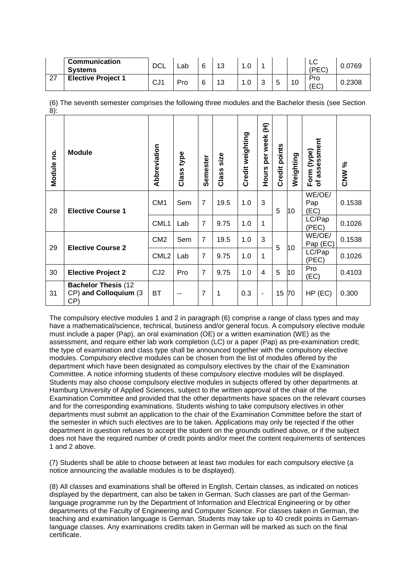|    | <b>Communication</b><br><b>Systems</b> | DCL             | Lab | 6 | 13 | 1.0 |   |        |    | ◡<br>(PFC) | 0.0769 |
|----|----------------------------------------|-----------------|-----|---|----|-----|---|--------|----|------------|--------|
| 27 | <b>Elective Project 1</b>              | CJ <sub>1</sub> | Pro | 6 | 13 | 1.0 | ັ | ∽<br>w | 10 | Pro<br>ΈC  | 0.2308 |

(6) The seventh semester comprises the following three modules and the Bachelor thesis (see Section  $8$ ) $\cdot$ 

| Module no. | <b>Module</b>                                                | Abbreviation     | type<br>Class | Semester       | size<br>Class | Credit weighting | Ê<br>per week<br>Hours   | points<br>Credit | Weighting | assessment<br>(type)<br>Form<br>৳ | <b>CNW %</b> |
|------------|--------------------------------------------------------------|------------------|---------------|----------------|---------------|------------------|--------------------------|------------------|-----------|-----------------------------------|--------------|
| 28         | <b>Elective Course 1</b>                                     | CM <sub>1</sub>  | Sem           | $\overline{7}$ | 19.5          | 1.0              | 3                        | 5                | 10        | WE/OE/<br>Pap<br>EC)              | 0.1538       |
|            |                                                              | CML1             | Lab           | $\overline{7}$ | 9.75          | 1.0              | 1                        |                  |           | LC/Pap<br>(PEC)                   | 0.1026       |
| 29         | <b>Elective Course 2</b>                                     | CM <sub>2</sub>  | Sem           | $\overline{7}$ | 19.5          | 1.0              | 3                        | 5                | 10        | WE/OE/<br>Pap (EC)                | 0.1538       |
|            |                                                              | CML <sub>2</sub> | Lab           | $\overline{7}$ | 9.75          | 1.0              | 1                        |                  |           | LC/Pap<br>(PEC)                   | 0.1026       |
| 30         | <b>Elective Project 2</b>                                    | CJ <sub>2</sub>  | Pro           | $\overline{7}$ | 9.75          | 1.0              | $\overline{4}$           | 5                | 10        | Pro<br>EC)                        | 0.4103       |
| 31         | <b>Bachelor Thesis (12)</b><br>CP) and Colloquium (3)<br>CP) | ВT               | --            | 7              | 1             | 0.3              | $\overline{\phantom{a}}$ | 15               | 70        | $HP$ (EC)                         | 0.300        |

The compulsory elective modules 1 and 2 in paragraph (6) comprise a range of class types and may have a mathematical/science, technical, business and/or general focus. A compulsory elective module must include a paper (Pap), an oral examination (OE) or a written examination (WE) as the assessment, and require either lab work completion (LC) or a paper (Pap) as pre-examination credit; the type of examination and class type shall be announced together with the compulsory elective modules. Compulsory elective modules can be chosen from the list of modules offered by the department which have been designated as compulsory electives by the chair of the Examination Committee. A notice informing students of these compulsory elective modules will be displayed. Students may also choose compulsory elective modules in subjects offered by other departments at Hamburg University of Applied Sciences, subject to the written approval of the chair of the Examination Committee and provided that the other departments have spaces on the relevant courses and for the corresponding examinations. Students wishing to take compulsory electives in other departments must submit an application to the chair of the Examination Committee before the start of the semester in which such electives are to be taken. Applications may only be rejected if the other department in question refuses to accept the student on the grounds outlined above, or if the subject does not have the required number of credit points and/or meet the content requirements of sentences 1 and 2 above.

(7) Students shall be able to choose between at least two modules for each compulsory elective (a notice announcing the available modules is to be displayed).

(8) All classes and examinations shall be offered in English. Certain classes, as indicated on notices displayed by the department, can also be taken in German. Such classes are part of the Germanlanguage programme run by the Department of Information and Electrical Engineering or by other departments of the Faculty of Engineering and Computer Science. For classes taken in German, the teaching and examination language is German. Students may take up to 40 credit points in Germanlanguage classes. Any examinations credits taken in German will be marked as such on the final certificate.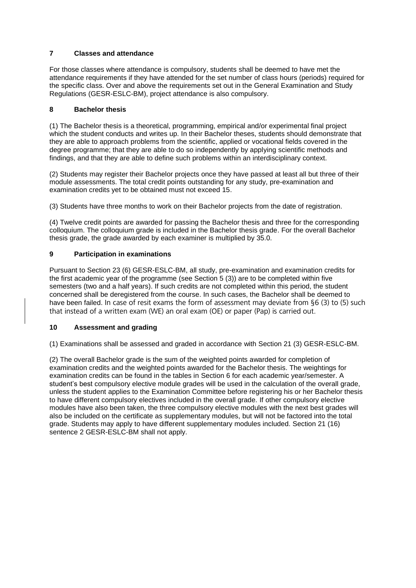# **7 Classes and attendance**

For those classes where attendance is compulsory, students shall be deemed to have met the attendance requirements if they have attended for the set number of class hours (periods) required for the specific class. Over and above the requirements set out in the General Examination and Study Regulations (GESR-ESLC-BM), project attendance is also compulsory.

# **8 Bachelor thesis**

(1) The Bachelor thesis is a theoretical, programming, empirical and/or experimental final project which the student conducts and writes up. In their Bachelor theses, students should demonstrate that they are able to approach problems from the scientific, applied or vocational fields covered in the degree programme; that they are able to do so independently by applying scientific methods and findings, and that they are able to define such problems within an interdisciplinary context.

(2) Students may register their Bachelor projects once they have passed at least all but three of their module assessments. The total credit points outstanding for any study, pre-examination and examination credits yet to be obtained must not exceed 15.

(3) Students have three months to work on their Bachelor projects from the date of registration.

(4) Twelve credit points are awarded for passing the Bachelor thesis and three for the corresponding colloquium. The colloquium grade is included in the Bachelor thesis grade. For the overall Bachelor thesis grade, the grade awarded by each examiner is multiplied by 35.0.

# **9 Participation in examinations**

Pursuant to Section 23 (6) GESR-ESLC-BM, all study, pre-examination and examination credits for the first academic year of the programme (see Section 5 (3)) are to be completed within five semesters (two and a half years). If such credits are not completed within this period, the student concerned shall be deregistered from the course. In such cases, the Bachelor shall be deemed to have been failed. In case of resit exams the form of assessment may deviate from §6 (3) to (5) such that instead of a written exam (WE) an oral exam (OE) or paper (Pap) is carried out. that instead of a written exam (WE) an oral exam (OE) or paper (Pap) is carried out.

# **10 Assessment and grading**

(1) Examinations shall be assessed and graded in accordance with Section 21 (3) GESR-ESLC-BM.

(2) The overall Bachelor grade is the sum of the weighted points awarded for completion of examination credits and the weighted points awarded for the Bachelor thesis. The weightings for examination credits can be found in the tables in Section 6 for each academic year/semester. A student's best compulsory elective module grades will be used in the calculation of the overall grade, unless the student applies to the Examination Committee before registering his or her Bachelor thesis to have different compulsory electives included in the overall grade. If other compulsory elective modules have also been taken, the three compulsory elective modules with the next best grades will also be included on the certificate as supplementary modules, but will not be factored into the total grade. Students may apply to have different supplementary modules included. Section 21 (16) sentence 2 GESR-ESLC-BM shall not apply.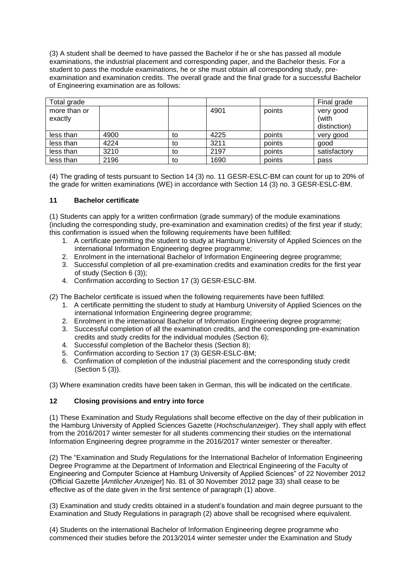(3) A student shall be deemed to have passed the Bachelor if he or she has passed all module examinations, the industrial placement and corresponding paper, and the Bachelor thesis. For a student to pass the module examinations, he or she must obtain all corresponding study, preexamination and examination credits. The overall grade and the final grade for a successful Bachelor of Engineering examination are as follows:

| Total grade             |      |    |      |        | Final grade                        |
|-------------------------|------|----|------|--------|------------------------------------|
| more than or<br>exactly |      |    | 4901 | points | very good<br>(with<br>distinction) |
| less than               | 4900 | to | 4225 | points | very good                          |
| less than               | 4224 | to | 3211 | points | good                               |
| less than               | 3210 | to | 2197 | points | satisfactory                       |
| less than               | 2196 | to | 1690 | points | pass                               |

(4) The grading of tests pursuant to Section 14 (3) no. 11 GESR-ESLC-BM can count for up to 20% of the grade for written examinations (WE) in accordance with Section 14 (3) no. 3 GESR-ESLC-BM.

#### **11 Bachelor certificate**

(1) Students can apply for a written confirmation (grade summary) of the module examinations (including the corresponding study, pre-examination and examination credits) of the first year if study; this confirmation is issued when the following requirements have been fulfilled:

- 1. A certificate permitting the student to study at Hamburg University of Applied Sciences on the international Information Engineering degree programme;
- 2. Enrolment in the international Bachelor of Information Engineering degree programme;
- 3. Successful completion of all pre-examination credits and examination credits for the first year of study (Section 6 (3));
- 4. Confirmation according to Section 17 (3) GESR-ESLC-BM.

(2) The Bachelor certificate is issued when the following requirements have been fulfilled:

- 1. A certificate permitting the student to study at Hamburg University of Applied Sciences on the international Information Engineering degree programme;
- 2. Enrolment in the international Bachelor of Information Engineering degree programme;
- 3. Successful completion of all the examination credits, and the corresponding pre-examination credits and study credits for the individual modules (Section 6);
- 4. Successful completion of the Bachelor thesis (Section 8);
- 5. Confirmation according to Section 17 (3) GESR-ESLC-BM;
- 6. Confirmation of completion of the industrial placement and the corresponding study credit (Section 5 (3)).

(3) Where examination credits have been taken in German, this will be indicated on the certificate.

## **12 Closing provisions and entry into force**

(1) These Examination and Study Regulations shall become effective on the day of their publication in the Hamburg University of Applied Sciences Gazette (*Hochschulanzeiger*). They shall apply with effect from the 2016/2017 winter semester for all students commencing their studies on the international Information Engineering degree programme in the 2016/2017 winter semester or thereafter.

(2) The "Examination and Study Regulations for the International Bachelor of Information Engineering Degree Programme at the Department of Information and Electrical Engineering of the Faculty of Engineering and Computer Science at Hamburg University of Applied Sciences" of 22 November 2012 (Official Gazette [*Amtlicher Anzeiger*] No. 81 of 30 November 2012 page 33) shall cease to be effective as of the date given in the first sentence of paragraph (1) above.

(3) Examination and study credits obtained in a student's foundation and main degree pursuant to the Examination and Study Regulations in paragraph (2) above shall be recognised where equivalent.

(4) Students on the international Bachelor of Information Engineering degree programme who commenced their studies before the 2013/2014 winter semester under the Examination and Study